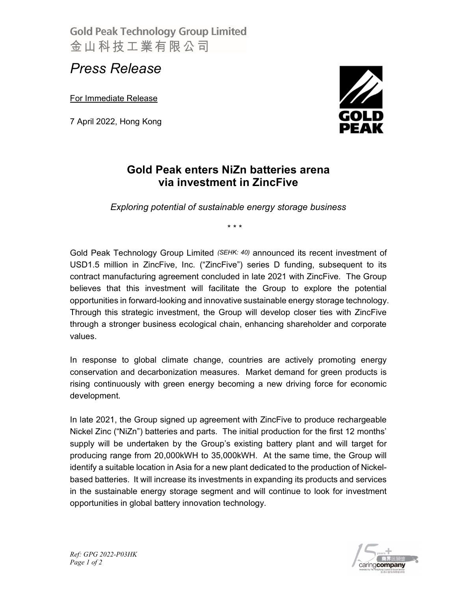**Gold Peak Technology Group Limited** 金山科技工業有限公司

## Press Release

For Immediate Release

7 April 2022, Hong Kong



## Gold Peak enters NiZn batteries arena via investment in ZincFive

Exploring potential of sustainable energy storage business

\* \* \*

Gold Peak Technology Group Limited (SEHK: 40) announced its recent investment of USD1.5 million in ZincFive, Inc. ("ZincFive") series D funding, subsequent to its contract manufacturing agreement concluded in late 2021 with ZincFive. The Group believes that this investment will facilitate the Group to explore the potential opportunities in forward-looking and innovative sustainable energy storage technology. Through this strategic investment, the Group will develop closer ties with ZincFive through a stronger business ecological chain, enhancing shareholder and corporate values.

In response to global climate change, countries are actively promoting energy conservation and decarbonization measures. Market demand for green products is rising continuously with green energy becoming a new driving force for economic development.

In late 2021, the Group signed up agreement with ZincFive to produce rechargeable Nickel Zinc ("NiZn") batteries and parts. The initial production for the first 12 months' supply will be undertaken by the Group's existing battery plant and will target for producing range from 20,000kWH to 35,000kWH. At the same time, the Group will identify a suitable location in Asia for a new plant dedicated to the production of Nickelbased batteries. It will increase its investments in expanding its products and services in the sustainable energy storage segment and will continue to look for investment opportunities in global battery innovation technology.